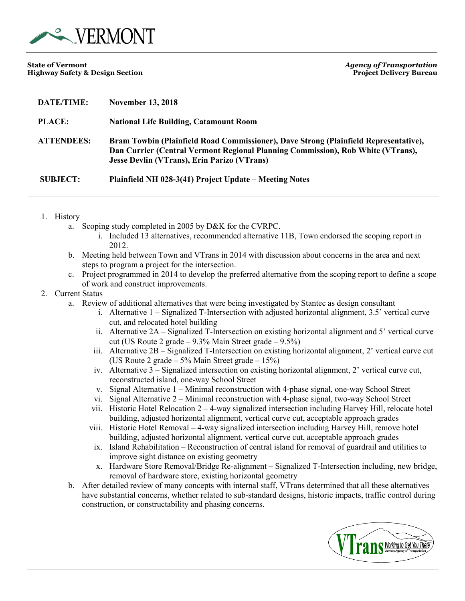

| <b>DATE/TIME:</b> | <b>November 13, 2018</b>                                                                                                                                                                                                      |
|-------------------|-------------------------------------------------------------------------------------------------------------------------------------------------------------------------------------------------------------------------------|
| <b>PLACE:</b>     | <b>National Life Building, Catamount Room</b>                                                                                                                                                                                 |
| <b>ATTENDEES:</b> | Bram Towbin (Plainfield Road Commissioner), Dave Strong (Plainfield Representative),<br>Dan Currier (Central Vermont Regional Planning Commission), Rob White (VTrans),<br><b>Jesse Devlin (VTrans), Erin Parizo (VTrans)</b> |
| <b>SUBJECT:</b>   | Plainfield NH 028-3(41) Project Update – Meeting Notes                                                                                                                                                                        |

- 1. History
	- a. Scoping study completed in 2005 by D&K for the CVRPC.
		- i. Included 13 alternatives, recommended alternative 11B, Town endorsed the scoping report in 2012.
	- b. Meeting held between Town and VTrans in 2014 with discussion about concerns in the area and next steps to program a project for the intersection.
	- c. Project programmed in 2014 to develop the preferred alternative from the scoping report to define a scope of work and construct improvements.

## 2. Current Status

- a. Review of additional alternatives that were being investigated by Stantec as design consultant
	- i. Alternative 1 Signalized T-Intersection with adjusted horizontal alignment, 3.5' vertical curve cut, and relocated hotel building
	- ii. Alternative 2A Signalized T-Intersection on existing horizontal alignment and 5' vertical curve cut (US Route 2 grade  $-9.3\%$  Main Street grade  $-9.5\%$ )
	- iii. Alternative 2B Signalized T-Intersection on existing horizontal alignment, 2' vertical curve cut (US Route 2 grade – 5% Main Street grade – 15%)
	- iv. Alternative 3 Signalized intersection on existing horizontal alignment, 2' vertical curve cut, reconstructed island, one-way School Street
	- v. Signal Alternative 1 Minimal reconstruction with 4-phase signal, one-way School Street
	- vi. Signal Alternative 2 Minimal reconstruction with 4-phase signal, two-way School Street
	- vii. Historic Hotel Relocation 2 4-way signalized intersection including Harvey Hill, relocate hotel building, adjusted horizontal alignment, vertical curve cut, acceptable approach grades
	- viii. Historic Hotel Removal 4-way signalized intersection including Harvey Hill, remove hotel building, adjusted horizontal alignment, vertical curve cut, acceptable approach grades
	- ix. Island Rehabilitation Reconstruction of central island for removal of guardrail and utilities to improve sight distance on existing geometry
	- x. Hardware Store Removal/Bridge Re-alignment Signalized T-Intersection including, new bridge, removal of hardware store, existing horizontal geometry
- b. After detailed review of many concepts with internal staff, VTrans determined that all these alternatives have substantial concerns, whether related to sub-standard designs, historic impacts, traffic control during construction, or constructability and phasing concerns.

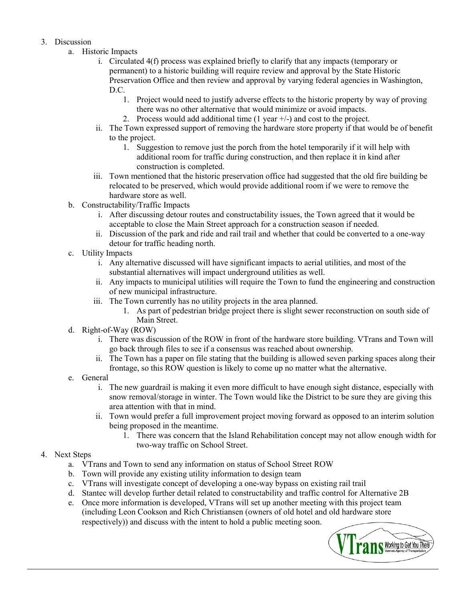## 3. Discussion

- a. Historic Impacts
	- i. Circulated 4(f) process was explained briefly to clarify that any impacts (temporary or permanent) to a historic building will require review and approval by the State Historic Preservation Office and then review and approval by varying federal agencies in Washington, D.C.
		- 1. Project would need to justify adverse effects to the historic property by way of proving there was no other alternative that would minimize or avoid impacts.
		- 2. Process would add additional time  $(1 \text{ year } +/-)$  and cost to the project.
	- ii. The Town expressed support of removing the hardware store property if that would be of benefit to the project.
		- 1. Suggestion to remove just the porch from the hotel temporarily if it will help with additional room for traffic during construction, and then replace it in kind after construction is completed.
	- iii. Town mentioned that the historic preservation office had suggested that the old fire building be relocated to be preserved, which would provide additional room if we were to remove the hardware store as well.
- b. Constructability/Traffic Impacts
	- i. After discussing detour routes and constructability issues, the Town agreed that it would be acceptable to close the Main Street approach for a construction season if needed.
	- ii. Discussion of the park and ride and rail trail and whether that could be converted to a one-way detour for traffic heading north.
- c. Utility Impacts
	- i. Any alternative discussed will have significant impacts to aerial utilities, and most of the substantial alternatives will impact underground utilities as well.
	- ii. Any impacts to municipal utilities will require the Town to fund the engineering and construction of new municipal infrastructure.
	- iii. The Town currently has no utility projects in the area planned.
		- 1. As part of pedestrian bridge project there is slight sewer reconstruction on south side of Main Street.
- d. Right-of-Way (ROW)
	- i. There was discussion of the ROW in front of the hardware store building. VTrans and Town will go back through files to see if a consensus was reached about ownership.
	- ii. The Town has a paper on file stating that the building is allowed seven parking spaces along their frontage, so this ROW question is likely to come up no matter what the alternative.
- e. General
	- i. The new guardrail is making it even more difficult to have enough sight distance, especially with snow removal/storage in winter. The Town would like the District to be sure they are giving this area attention with that in mind.
	- ii. Town would prefer a full improvement project moving forward as opposed to an interim solution being proposed in the meantime.
		- 1. There was concern that the Island Rehabilitation concept may not allow enough width for two-way traffic on School Street.
- 4. Next Steps
	- a. VTrans and Town to send any information on status of School Street ROW
	- b. Town will provide any existing utility information to design team
	- c. VTrans will investigate concept of developing a one-way bypass on existing rail trail
	- d. Stantec will develop further detail related to constructability and traffic control for Alternative 2B
	- e. Once more information is developed, VTrans will set up another meeting with this project team (including Leon Cookson and Rich Christiansen (owners of old hotel and old hardware store respectively)) and discuss with the intent to hold a public meeting soon.